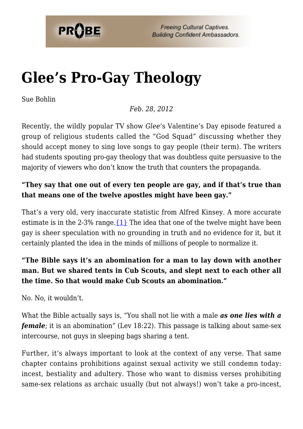

**Freeing Cultural Captives. Building Confident Ambassadors.** 

# **[Glee's Pro-Gay Theology](https://probe.org/glees-pro-gay-theology/)**

Sue Bohlin

*Feb. 28, 2012*

Recently, the wildly popular TV show *Glee*'s Valentine's Day episode featured a group of religious students called the "God Squad" discussing whether they should accept money to sing love songs to gay people (their term). The writers had students spouting pro-gay theology that was doubtless quite persuasive to the majority of viewers who don't know the truth that counters the propaganda.

### **"They say that one out of every ten people are gay, and if that's true than that means one of the twelve apostles might have been gay."**

That's a very old, very inaccurate statistic from Alfred Kinsey. A more accurate estimate is in the 2-3% range. $\{1\}$  The idea that one of the twelve might have been gay is sheer speculation with no grounding in truth and no evidence for it, but it certainly planted the idea in the minds of millions of people to normalize it.

## **"The Bible says it's an abomination for a man to lay down with another man. But we shared tents in Cub Scouts, and slept next to each other all the time. So that would make Cub Scouts an abomination."**

No. No, it wouldn't.

What the Bible actually says is, "You shall not lie with a male *as one lies with a female*; it is an abomination" (Lev 18:22). This passage is talking about same-sex intercourse, not guys in sleeping bags sharing a tent.

Further, it's always important to look at the context of any verse. That same chapter contains prohibitions against sexual activity we still condemn today: incest, bestiality and adultery. Those who want to dismiss verses prohibiting same-sex relations as archaic usually (but not always!) won't take a pro-incest,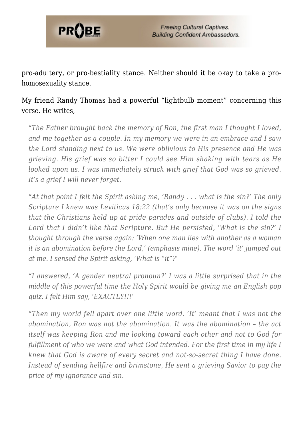

pro-adultery, or pro-bestiality stance. Neither should it be okay to take a prohomosexuality stance.

My friend Randy Thomas had a powerful "lightbulb moment" concerning this verse. He writes,

*"The Father brought back the memory of Ron, the first man I thought I loved, and me together as a couple. In my memory we were in an embrace and I saw the Lord standing next to us. We were oblivious to His presence and He was grieving. His grief was so bitter I could see Him shaking with tears as He looked upon us. I was immediately struck with grief that God was so grieved. It's a grief I will never forget.*

*"At that point I felt the Spirit asking me, 'Randy . . . what is the sin?' The only Scripture I knew was Leviticus 18:22 (that's only because it was on the signs that the Christians held up at pride parades and outside of clubs). I told the Lord that I didn't like that Scripture. But He persisted, 'What is the sin?' I thought through the verse again: 'When one man lies with another as a woman it is an abomination before the Lord,' (emphasis mine). The word 'it' jumped out at me. I sensed the Spirit asking, 'What is "it"?'*

*"I answered, 'A gender neutral pronoun?' I was a little surprised that in the middle of this powerful time the Holy Spirit would be giving me an English pop quiz. I felt Him say, 'EXACTLY!!!'*

*"Then my world fell apart over one little word. 'It' meant that I was not the abomination, Ron was not the abomination. It was the abomination – the act itself was keeping Ron and me looking toward each other and not to God for fulfillment of who we were and what God intended. For the first time in my life I knew that God is aware of every secret and not-so-secret thing I have done. Instead of sending hellfire and brimstone, He sent a grieving Savior to pay the price of my ignorance and sin.*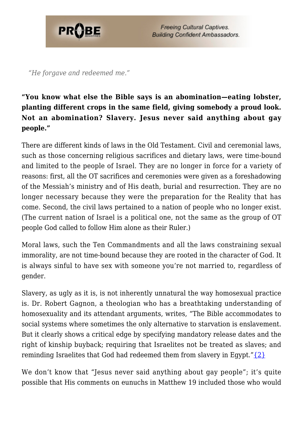

**Freeing Cultural Captives. Building Confident Ambassadors.** 

*"He forgave and redeemed me."*

### **"You know what else the Bible says is an abomination—eating lobster, planting different crops in the same field, giving somebody a proud look. Not an abomination? Slavery. Jesus never said anything about gay people."**

There are different kinds of laws in the Old Testament. Civil and ceremonial laws, such as those concerning religious sacrifices and dietary laws, were time-bound and limited to the people of Israel. They are no longer in force for a variety of reasons: first, all the OT sacrifices and ceremonies were given as a foreshadowing of the Messiah's ministry and of His death, burial and resurrection. They are no longer necessary because they were the preparation for the Reality that has come. Second, the civil laws pertained to a nation of people who no longer exist. (The current nation of Israel is a political one, not the same as the group of OT people God called to follow Him alone as their Ruler.)

Moral laws, such the Ten Commandments and all the laws constraining sexual immorality, are not time-bound because they are rooted in the character of God. It is always sinful to have sex with someone you're not married to, regardless of gender.

Slavery, as ugly as it is, is not inherently unnatural the way homosexual practice is. Dr. Robert Gagnon, a theologian who has a breathtaking understanding of homosexuality and its attendant arguments, writes, "The Bible accommodates to social systems where sometimes the only alternative to starvation is enslavement. But it clearly shows a critical edge by specifying mandatory release dates and the right of kinship buyback; requiring that Israelites not be treated as slaves; and reminding Israelites that God had redeemed them from slavery in Egypt." $\{2\}$ 

We don't know that "Jesus never said anything about gay people"; it's quite possible that His comments on eunuchs in Matthew 19 included those who would